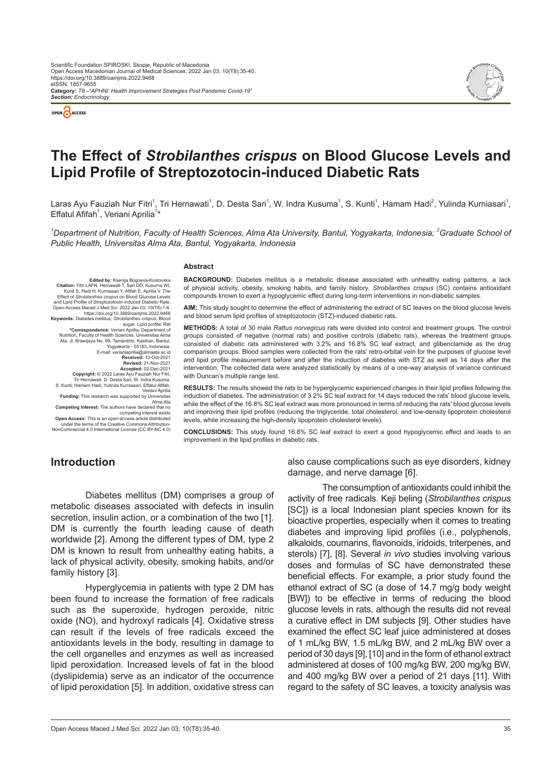



# **The Effect of** *Strobilanthes crispus* **on Blood Glucose Levels and Lipid Profile of Streptozotocin-induced Diabetic Rats**

Laras Ayu Fauziah Nur Fitri<sup>1</sup>, Tri Hernawati<sup>1</sup>, D. Desta Sari<sup>1</sup>, W. Indra Kusuma<sup>1</sup>, S. Kunti<sup>1</sup>, Hamam Hadi<sup>2</sup>, Yulinda Kurniasari<sup>1</sup>, Effatul Afifah<sup>1</sup>, Veriani Aprilia<sup>1\*</sup>

*1 Department of Nutrition, Faculty of Health Sciences, Alma Ata University, Bantul, Yogyakarta, Indonesia; 2 Graduate School of Public Health, Universitas Alma Ata, Bantul, Yogyakarta, Indonesia*

#### **Abstract**

**Edited by: Ksenija Bogoeva-Kostovs Citation:** Fitri LAFN, Hernawati T, Sari DD, Kusuma WI, Kunti S, Hadi H, Kurniasari Y, Afifah E, Aprilia V. The Effect of *Strobilanthes crispus* on Blood Glucose Levels and Lipid Profile of Streptozotocin-induced Diabetic Rats.<br>Open-Access Maced J Med Sci. 2022 Jan 03; 10(T8):1-6.<br>https://doi.org/10.3889/oamjms.2022.9468<br>**Keywords:** Diabetes mellitus; *Strobilanthes crispus*; Blood sugar; Lipid profile; Rat **\*Correspondence:** Veriani Aprilia, Department of Nutrition, Faculty of Health Sciences, Universitas Alma Ata, Jl. Brawijaya No. 99, Tamantirto, Kasihan, Bantul, Yogyakarta - 55183, Indonesia. E-mail: verianiaprilia@almaata.ac.id **Received:** 13-Oct-2021 **Revised:** 21-Nov-2021 **Accepted:** 02-Dec-2021 **Copyright:** © 2022 Laras Ayu Fauziah Nur Fitri, Tri Hernawati, D. Desta Sari, W. Indra Kusuma, S. Kunti, Hamam Hadi, Yulinda Kurniasari, Effatul Afifah, Veriani Aprilia **Funding:** This research was supported by University Alma Ata **Competing Interest:** The authors have declared that no

competing interest exists **Open Access:** This is an open-access article distributed<br>under the terms of the Creative Commons Attribution.

under the terms of the Creative Commons Attribution-NonCommercial 4.0 International License (CC BY-NC 4.0)

**BACKGROUND:** Diabetes mellitus is a metabolic disease associated with unhealthy eating patterns, a lack of physical activity, obesity, smoking habits, and family history. *Strobilanthes crispus* (SC) contains antioxidant compounds known to exert a hypoglycemic effect during long-term interventions in non-diabetic samples.

**AIM:** This study sought to determine the effect of administering the extract of SC leaves on the blood glucose levels and blood serum lipid profiles of streptozotocin (STZ)-induced diabetic rats.

**METHODS:** A total of 30 male *Rattus norvegicus* rats were divided into control and treatment groups. The control groups consisted of negative (normal rats) and positive controls (diabetic rats), whereas the treatment groups consisted of diabetic rats administered with 3.2% and 16.8% SC leaf extract, and glibenclamide as the drug comparison groups. Blood samples were collected from the rats' retro-orbital vein for the purposes of glucose level and lipid profile measurement before and after the induction of diabetes with STZ as well as 14 days after the intervention. The collected data were analyzed statistically by means of a one-way analysis of variance continued with Duncan's multiple range test.

**RESULTS:** The results showed the rats to be hyperglycemic experienced changes in their lipid profiles following the induction of diabetes. The administration of 3.2% SC leaf extract for 14 days reduced the rats' blood glucose levels, while the effect of the 16.8% SC leaf extract was more pronounced in terms of reducing the rats' blood glucose levels and improving their lipid profiles (reducing the triglyceride, total cholesterol, and low-density lipoprotein cholesterol levels, while increasing the high-density lipoprotein cholesterol levels).

**CONCLUSIONS:** This study found 16.8% SC leaf extract to exert a good hypoglycemic effect and leads to an improvement in the lipid profiles in diabetic rats.

# **Introduction**

Diabetes mellitus (DM) comprises a group of metabolic diseases associated with defects in insulin secretion, insulin action, or a combination of the two [1]. DM is currently the fourth leading cause of death worldwide [2]. Among the different types of DM, type 2 DM is known to result from unhealthy eating habits, a lack of physical activity, obesity, smoking habits, and/or family history [3].

Hyperglycemia in patients with type 2 DM has been found to increase the formation of free radicals such as the superoxide, hydrogen peroxide, nitric oxide (NO), and hydroxyl radicals [4]. Oxidative stress can result if the levels of free radicals exceed the antioxidants levels in the body, resulting in damage to the cell organelles and enzymes as well as increased lipid peroxidation. Increased levels of fat in the blood (dyslipidemia) serve as an indicator of the occurrence of lipid peroxidation [5]. In addition, oxidative stress can also cause complications such as eye disorders, kidney damage, and nerve damage [6].

The consumption of antioxidants could inhibit the activity of free radicals. Keji beling (*Strobilanthes crispus* [SC]) is a local Indonesian plant species known for its bioactive properties, especially when it comes to treating diabetes and improving lipid profiles (i.e., polyphenols, alkaloids, coumarins, flavonoids, iridoids, triterpenes, and sterols) [7], [8]. Several *in vivo* studies involving various doses and formulas of SC have demonstrated these beneficial effects. For example, a prior study found the ethanol extract of SC (a dose of 14.7 mg/g body weight [BW]) to be effective in terms of reducing the blood glucose levels in rats, although the results did not reveal a curative effect in DM subjects [9]. Other studies have examined the effect SC leaf juice administered at doses of 1 mL/kg BW, 1.5 mL/kg BW, and 2 mL/kg BW over a period of 30 days [9], [10] and in the form of ethanol extract administered at doses of 100 mg/kg BW, 200 mg/kg BW, and 400 mg/kg BW over a period of 21 days [11]. With regard to the safety of SC leaves, a toxicity analysis was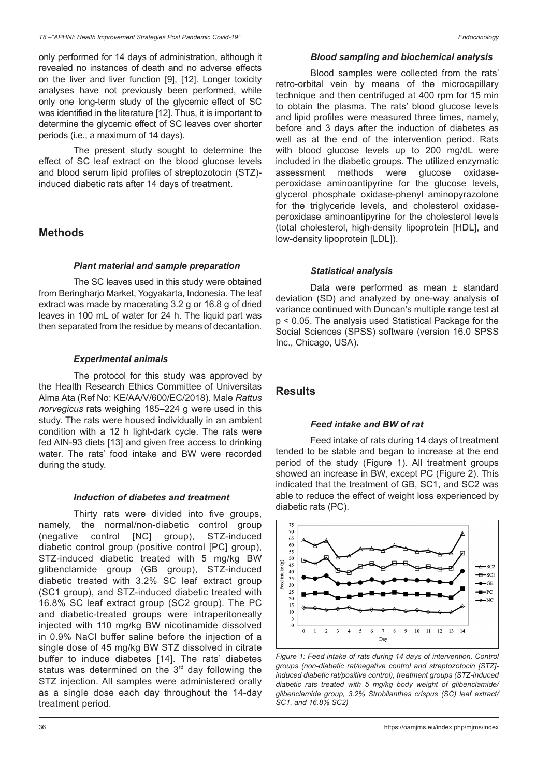only performed for 14 days of administration, although it revealed no instances of death and no adverse effects on the liver and liver function [9], [12]. Longer toxicity analyses have not previously been performed, while only one long-term study of the glycemic effect of SC was identified in the literature [12]. Thus, it is important to determine the glycemic effect of SC leaves over shorter periods (i.e., a maximum of 14 days).

The present study sought to determine the effect of SC leaf extract on the blood glucose levels and blood serum lipid profiles of streptozotocin (STZ) induced diabetic rats after 14 days of treatment.

# **Methods**

# *Plant material and sample preparation*

The SC leaves used in this study were obtained from Beringharjo Market, Yogyakarta, Indonesia. The leaf extract was made by macerating 3.2 g or 16.8 g of dried leaves in 100 mL of water for 24 h. The liquid part was then separated from the residue by means of decantation.

# *Experimental animals*

The protocol for this study was approved by the Health Research Ethics Committee of Universitas Alma Ata (Ref No: KE/AA/V/600/EC/2018). Male *Rattus norvegicus* rats weighing 185–224 g were used in this study. The rats were housed individually in an ambient condition with a 12 h light-dark cycle. The rats were fed AIN-93 diets [13] and given free access to drinking water. The rats' food intake and BW were recorded during the study.

### *Induction of diabetes and treatment*

Thirty rats were divided into five groups, namely, the normal/non-diabetic control group (negative control [NC] group), STZ-induced diabetic control group (positive control [PC] group), STZ-induced diabetic treated with 5 mg/kg BW glibenclamide group (GB group), STZ-induced diabetic treated with 3.2% SC leaf extract group (SC1 group), and STZ-induced diabetic treated with 16.8% SC leaf extract group (SC2 group). The PC and diabetic-treated groups were intraperitoneally injected with 110 mg/kg BW nicotinamide dissolved in 0.9% NaCl buffer saline before the injection of a single dose of 45 mg/kg BW STZ dissolved in citrate buffer to induce diabetes [14]. The rats' diabetes status was determined on the  $3<sup>rd</sup>$  day following the STZ injection. All samples were administered orally as a single dose each day throughout the 14-day treatment period.

### *Blood sampling and biochemical analysis*

Blood samples were collected from the rats' retro-orbital vein by means of the microcapillary technique and then centrifuged at 400 rpm for 15 min to obtain the plasma. The rats' blood glucose levels and lipid profiles were measured three times, namely, before and 3 days after the induction of diabetes as well as at the end of the intervention period. Rats with blood glucose levels up to 200 mg/dL were included in the diabetic groups. The utilized enzymatic assessment methods were glucose oxidaseperoxidase aminoantipyrine for the glucose levels, glycerol phosphate oxidase-phenyl aminopyrazolone for the triglyceride levels, and cholesterol oxidaseperoxidase aminoantipyrine for the cholesterol levels (total cholesterol, high-density lipoprotein [HDL], and low-density lipoprotein [LDL]).

# *Statistical analysis*

Data were performed as mean ± standard deviation (SD) and analyzed by one-way analysis of variance continued with Duncan's multiple range test at p < 0.05. The analysis used Statistical Package for the Social Sciences (SPSS) software (version 16.0 SPSS Inc., Chicago, USA).

# **Results**

# *Feed intake and BW of rat*

Feed intake of rats during 14 days of treatment tended to be stable and began to increase at the end period of the study (Figure 1). All treatment groups showed an increase in BW, except PC (Figure 2). This indicated that the treatment of GB, SC1, and SC2 was able to reduce the effect of weight loss experienced by diabetic rats (PC).



*Figure 1: Feed intake of rats during 14 days of intervention. Control groups (non-diabetic rat/negative control and streptozotocin [STZ] induced diabetic rat/positive control), treatment groups (STZ-induced diabetic rats treated with 5 mg/kg body weight of glibenclamide/ glibenclamide group, 3.2% Strobilanthes crispus (SC) leaf extract/ SC1, and 16.8% SC2)*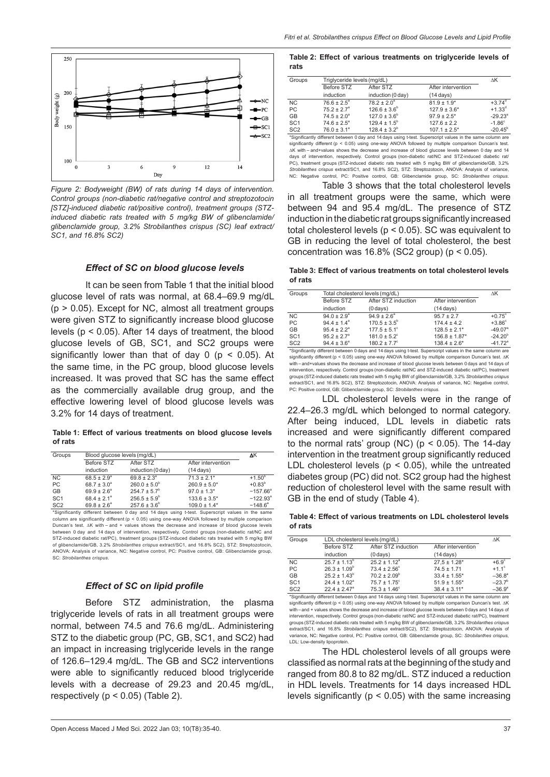

*Figure 2: Bodyweight (BW) of rats during 14 days of intervention. Control groups (non-diabetic rat/negative control and streptozotocin [STZ]-induced diabetic rat/positive control), treatment groups (STZinduced diabetic rats treated with 5 mg/kg BW of glibenclamide/ glibenclamide group, 3.2% Strobilanthes crispus (SC) leaf extract/ SC1, and 16.8% SC2)*

### *Effect of SC on blood glucose levels*

It can be seen from Table 1 that the initial blood glucose level of rats was normal, at 68.4–69.9 mg/dL (p > 0.05). Except for NC, almost all treatment groups were given STZ to significantly increase blood glucose levels (p < 0.05). After 14 days of treatment, the blood glucose levels of GB, SC1, and SC2 groups were significantly lower than that of day  $0$  ( $p < 0.05$ ). At the same time, in the PC group, blood glucose levels increased. It was proved that SC has the same effect as the commercially available drug group, and the effective lowering level of blood glucose levels was 3.2% for 14 days of treatment.

**Table 1: Effect of various treatments on blood glucose levels of rats**

| Groups          | Blood glucose levels (mg/dL) |                         |                                                                                                 | ΔΚ                |
|-----------------|------------------------------|-------------------------|-------------------------------------------------------------------------------------------------|-------------------|
|                 | Before STZ                   | After STZ               | After intervention                                                                              |                   |
|                 | induction                    | induction (0 day)       | $(14 \text{ days})$                                                                             |                   |
| <b>NC</b>       | $68.5 \pm 2.9^{\circ}$       | $69.8 \pm 2.3^{\circ}$  | $71.3 \pm 2.1*$                                                                                 | $+1.50^{b}$       |
| <b>PC</b>       | $68.7 \pm 3.0^a$             | $260.0 \pm 5.0^{\circ}$ | $260.9 \pm 5.0*$                                                                                | $+0.83^{b}$       |
| GB              | $69.9 \pm 2.6^{\circ}$       | $254.7 \pm 5.7^{\circ}$ | $97.0 \pm 1.3*$                                                                                 | $-157.66^{\circ}$ |
| SC <sub>1</sub> | $68.4 \pm 2.1^a$             | $256.5 \pm 5.9^{\circ}$ | $133.6 \pm 3.5^*$                                                                               | $-122.93^{\circ}$ |
| SC <sub>2</sub> | $69.8 \pm 2.6^{\circ}$       | $257.6 \pm 3.6^b$       | $109.0 \pm 1.4*$                                                                                | $-148.6^{\circ}$  |
|                 |                              |                         | *Significantly different between 0 day and 14 days using t-test. Superscript values in the same |                   |

\*Significantly different between 0 day and 14 days using t‑test. Superscript values in the same column are significantly different (p < 0.05) using one‑way ANOVA followed by multiple comparison Duncan's test. ΔK with – and + values shows the decrease and increase of blood glucose levels between 0 day and 14 days of intervention, respectively. Control groups (non‑diabetic rat/NC and STZ‑induced diabetic rat/PC), treatment groups (STZ‑induced diabetic rats treated with 5 mg/kg BW of glibenclamide/GB, 3.2% *Strobilanthes crispus* extract/SC1, and 16.8% SC2), STZ: Streptozotocin, ANOVA: Analysis of variance, NC: Negative control, PC: Positive control, GB: Glibenclamide group, SC: *Strobilanthes crispus*.

#### *Effect of SC on lipid profile*

Before STZ administration, the plasma triglyceride levels of rats in all treatment groups were normal, between 74.5 and 76.6 mg/dL. Administering STZ to the diabetic group (PC, GB, SC1, and SC2) had an impact in increasing triglyceride levels in the range of 126.6–129.4 mg/dL. The GB and SC2 interventions were able to significantly reduced blood triglyceride levels with a decrease of 29.23 and 20.45 mg/dL, respectively ( $p < 0.05$ ) (Table 2).

#### **Table 2: Effect of various treatments on triglyceride levels of rats**

| Groups          | Triglyceride levels (mg/dL) |                         |                     | ΔΚ                    |
|-----------------|-----------------------------|-------------------------|---------------------|-----------------------|
|                 | Before STZ                  | After STZ               | After intervention  |                       |
|                 | induction                   | induction (0 day)       | $(14 \text{ days})$ |                       |
| NC.             | $76.6 \pm 2.5^{\circ}$      | $78.2 \pm 2.0^a$        | $81.9 \pm 1.9^*$    | $+3.74^{\circ}$       |
| PC              | $75.2 \pm 2.7$ <sup>a</sup> | $126.6 \pm 3.6^{\circ}$ | $127.9 \pm 3.6^*$   | $+1.33^{d}$           |
| <b>GB</b>       | $74.5 \pm 2.0^a$            | $127.0 \pm 3.6^{\circ}$ | $97.9 \pm 2.5^*$    | $-29.23$ <sup>a</sup> |
| SC <sub>1</sub> | $74.6 \pm 2.5^{\circ}$      | $129.4 \pm 1.5^{\circ}$ | $127.6 \pm 2.2$     | $-1.86^\circ$         |
| SC <sub>2</sub> | $76.0 \pm 3.1^{\circ}$      | $128.4 \pm 3.2^b$       | $107.1 \pm 2.5^*$   | $-20.45^{\circ}$      |

\*Significantly different between 0 day and 14 days using t‑test. Superscript values in the same column are significantly different (p < 0.05) using one‑way ANOVA followed by multiple comparison Duncan's test. ∆K with – and+values shows the decrease and increase of blood glucose levels between 0 day and 14 days of intervention, respectively. Control groups (non-diabetic rat/NC and STZ-induced diabetic rat/ PC), treatment groups (STZ‑induced diabetic rats treated with 5 mg/kg BW of glibenclamide/GB, 3.2% *Strobilanthes crispus* extract/SC1, and 16.8% SC2), STZ: Streptozotocin, ANOVA: Analysis of variance, NC: Negative control, PC: Positive control, GB: Glibenclamide group, SC: *Strobilanthes crispus*.

Table 3 shows that the total cholesterol levels in all treatment groups were the same, which were between 94 and 95.4 mg/dL. The presence of STZ induction in the diabetic rat groups significantly increased total cholesterol levels (p < 0.05). SC was equivalent to GB in reducing the level of total cholesterol, the best concentration was  $16.8\%$  (SC2 group) ( $p < 0.05$ ).

**Table 3: Effect of various treatments on total cholesterol levels of rats**

| Groups          | Total cholesterol levels (mg/dL) |                              |                     | ΔΚ                    |
|-----------------|----------------------------------|------------------------------|---------------------|-----------------------|
|                 | Before STZ                       | After STZ induction          | After intervention  |                       |
|                 | induction                        | $(0 \text{ days})$           | $(14 \text{ days})$ |                       |
| <b>NC</b>       | $94.0 \pm 2.9^{\circ}$           | $94.9 \pm 2.6^{\circ}$       | $95.7 \pm 2.7$      | $+0.75^{\circ}$       |
| PC              | $94.4 \pm 1.4^a$                 | $170.5 \pm 3.5^{\circ}$      | $174.4 \pm 4.2$     | $+3.86^\circ$         |
| GB              | $95.4 \pm 2.2^a$                 | $177.5 \pm 5.1^{\circ}$      | $128.5 \pm 2.1*$    | $-49.07$ <sup>a</sup> |
| SC <sub>1</sub> | $95.2 \pm 2.7$ <sup>a</sup>      | $181.0 \pm 5.2$ <sup>c</sup> | $156.8 \pm 1.87*$   | $-24.20^{b}$          |
| SC <sub>2</sub> | $94.4 \pm 3.6^{\circ}$           | $180.2 \pm 7.7^{\circ}$      | $138.4 \pm 2.6^*$   | $-41.72$ <sup>a</sup> |
|                 |                                  |                              |                     |                       |

\*Significantly different between 0 days and 14 days using t‑test. Superscript values in the same column are<br>significantly different (p < 0.05) using one‑way ANOVA followed by multiple comparison Duncan's test. ∆K with – and+values shows the decrease and increase of blood glucose levels between 0 days and 14 days of intervention, respectively. Control groups (non-diabetic rat/NC and STZ-induced diabetic rat/PC), treatment groups (STZ‑induced diabetic rats treated with 5 mg/kg BW of glibenclamide/GB, 3.2% *Strobilanthes crispus* et/SC1, and 16.8% SC2), STZ: Streptozoto PC: Positive control, GB: Glibenclamide group, SC: *Strobilanthes crispus*.

LDL cholesterol levels were in the range of 22.4–26.3 mg/dL which belonged to normal category. After being induced, LDL levels in diabetic rats increased and were significantly different compared to the normal rats' group (NC) ( $p < 0.05$ ). The 14-day intervention in the treatment group significantly reduced LDL cholesterol levels ( $p < 0.05$ ), while the untreated diabetes group (PC) did not. SC2 group had the highest reduction of cholesterol level with the same result with GB in the end of study (Table 4).

**Table 4: Effect of various treatments on LDL cholesterol levels of rats**

| Groups          | LDL cholesterol levels (mg/dL) |                              |                     | ΔΚ              |
|-----------------|--------------------------------|------------------------------|---------------------|-----------------|
|                 | Before STZ                     | After STZ induction          | After intervention  |                 |
|                 | induction                      | $(0 \text{ days})$           | $(14 \text{ days})$ |                 |
| <b>NC</b>       | $25.7 \pm 1.13^b$              | $25.2 \pm 1.12^a$            | $27.5 \pm 1.28$ *   | $+6.9^\circ$    |
| <b>PC</b>       | $26.3 \pm 1.09^b$              | $73.4 \pm 2.56^{\circ}$      | $74.5 \pm 1.71$     | $+1.1^{\circ}$  |
| GB              | $25.2 \pm 1.43^b$              | $70.2 \pm 2.09^{\circ}$      | $33.4 \pm 1.55^*$   | $-36.8^a$       |
| SC <sub>1</sub> | $24.4 \pm 1.02$ <sup>a</sup>   | $75.7 \pm 1.75$ <sup>c</sup> | $51.9 \pm 1.55$ *   | $-23.7^{b}$     |
| SC <sub>2</sub> | $22.4 \pm 2.47$ <sup>a</sup>   | $75.3 \pm 1.46^{\circ}$      | $38.4 \pm 3.11*$    | $-36.9^{\circ}$ |

\*Significantly different between 0 days and 14 days using t‑test. Superscript values in the same column are<br>significantly different (p < 0.05) using one‑way ANOVA followed by multiple comparison Duncan's test. ∆K with – and + values shows the decrease and increase of blood glucose levels between 0 days and 14 days of intervention, respectively. Control groups (non-diabetic rat/NC and STZ-induced diabetic rat/PC), treatment groups (STZ‑induced diabetic rats treated with 5 mg/kg BW of glibenclamide/GB, 3.2% *Strobilanthes crispus* extract/SC1, and 16.8% *Strobilanthes crispus* extract/SC2), STZ: Streptozotocin, ANOVA: Analysis of variance, NC: Negative control, PC: Positive control, GB: Glibenclamide group, SC: *Strobilanthes crispus*, LDL: Low-density lipoprotein

The HDL cholesterol levels of all groups were classified as normal rats at the beginning of the study and ranged from 80.8 to 82 mg/dL. STZ induced a reduction in HDL levels. Treatments for 14 days increased HDL levels significantly ( $p < 0.05$ ) with the same increasing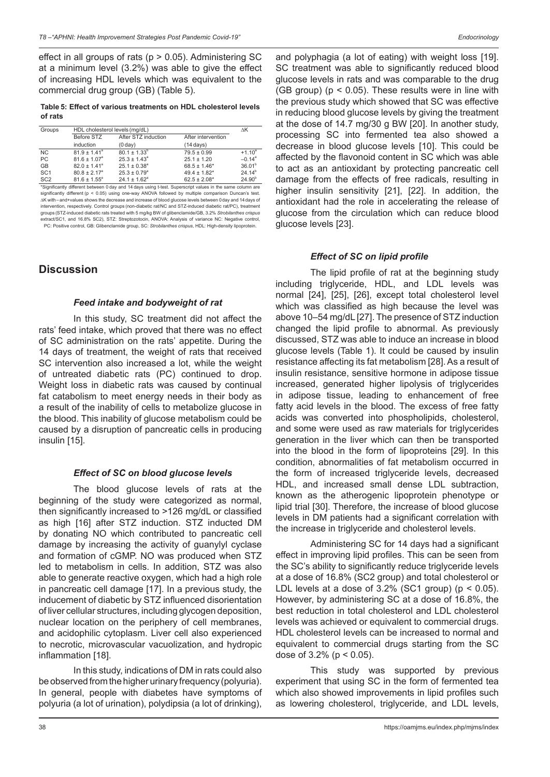effect in all groups of rats ( $p > 0.05$ ). Administering SC at a minimum level (3.2%) was able to give the effect of increasing HDL levels which was equivalent to the commercial drug group (GB) (Table 5).

**Table 5: Effect of various treatments on HDL cholesterol levels of rats**

| Groups          | HDL cholesterol levels (mg/dL) |                              |                     | ΔΚ                   |
|-----------------|--------------------------------|------------------------------|---------------------|----------------------|
|                 | Before STZ                     | After STZ induction          | After intervention  |                      |
|                 | induction                      | (0 day)                      | $(14 \text{ days})$ |                      |
| NC.             | $81.9 \pm 1.41$ <sup>a</sup>   | $80.1 \pm 1.33^b$            | $79.5 \pm 0.99$     | $+1.10^a$            |
| PC              | $81.6 \pm 1.07$ <sup>a</sup>   | $25.3 \pm 1.43$ <sup>a</sup> | $25.1 \pm 1.20$     | $-0.14$ <sup>a</sup> |
| <b>GB</b>       | $82.0 \pm 1.41$ <sup>a</sup>   | $25.1 \pm 0.38$ <sup>a</sup> | $68.5 \pm 1.46*$    | 36.01 <sup>b</sup>   |
| SC <sub>1</sub> | $80.8 \pm 2.17$ <sup>a</sup>   | $25.3 \pm 0.79$ <sup>a</sup> | $49.4 \pm 1.82$ *   | $24.14^{b}$          |
| SC <sub>2</sub> | $81.6 \pm 1.55^{\circ}$        | $24.1 \pm 1.62$ <sup>a</sup> | $62.5 \pm 2.08*$    | 24.90 <sup>b</sup>   |

\*Significantly different between 0 day and 14 days using t‑test. Superscript values in the same column are significantly different (p < 0.05) using one‑way ANOVA followed by multiple comparison Duncan's test.<br>∆K with–and+values shows the decrease and increase of blood glucose levels between 0day and 14 days of intervention, respectively. Control groups (non-diabetic rat/NC and STZ-induced diabetic rat/PC), treatment groups (STZ‑induced diabetic rats treated with 5 mg/kg BW of glibenclamide/GB, 3.2% *Strobilanthes crispus* extract/SC1, and 16.8% SC2), STZ: Streptozotocin, ANOVA: Analysis of variance NC: Negative control, PC: Positive control, GB: Glibenclamide group, SC: *Strobilanthes crispus*, HDL: High-density lipoprotein.

# **Discussion**

# *Feed intake and bodyweight of rat*

In this study, SC treatment did not affect the rats' feed intake, which proved that there was no effect of SC administration on the rats' appetite. During the 14 days of treatment, the weight of rats that received SC intervention also increased a lot, while the weight of untreated diabetic rats (PC) continued to drop. Weight loss in diabetic rats was caused by continual fat catabolism to meet energy needs in their body as a result of the inability of cells to metabolize glucose in the blood. This inability of glucose metabolism could be caused by a disruption of pancreatic cells in producing insulin [15].

### *Effect of SC on blood glucose levels*

The blood glucose levels of rats at the beginning of the study were categorized as normal, then significantly increased to >126 mg/dL or classified as high [16] after STZ induction. STZ inducted DM by donating NO which contributed to pancreatic cell damage by increasing the activity of guanylyl cyclase and formation of cGMP. NO was produced when STZ led to metabolism in cells. In addition, STZ was also able to generate reactive oxygen, which had a high role in pancreatic cell damage [17]. In a previous study, the inducement of diabetic by STZ influenced disorientation of liver cellular structures, including glycogen deposition, nuclear location on the periphery of cell membranes, and acidophilic cytoplasm. Liver cell also experienced to necrotic, microvascular vacuolization, and hydropic inflammation [18].

In this study, indications of DM in rats could also be observed from the higher urinary frequency (polyuria). In general, people with diabetes have symptoms of polyuria (a lot of urination), polydipsia (a lot of drinking),

and polyphagia (a lot of eating) with weight loss [19]. SC treatment was able to significantly reduced blood glucose levels in rats and was comparable to the drug  $(GB$  group) ( $p < 0.05$ ). These results were in line with the previous study which showed that SC was effective in reducing blood glucose levels by giving the treatment at the dose of 14.7 mg/30 g BW [20]. In another study, processing SC into fermented tea also showed a decrease in blood glucose levels [10]. This could be affected by the flavonoid content in SC which was able to act as an antioxidant by protecting pancreatic cell damage from the effects of free radicals, resulting in higher insulin sensitivity [21], [22]. In addition, the antioxidant had the role in accelerating the release of glucose from the circulation which can reduce blood glucose levels [23].

# *Effect of SC on lipid profile*

The lipid profile of rat at the beginning study including triglyceride, HDL, and LDL levels was normal [24], [25], [26], except total cholesterol level which was classified as high because the level was above 10–54 mg/dL [27]. The presence of STZ induction changed the lipid profile to abnormal. As previously discussed, STZ was able to induce an increase in blood glucose levels (Table 1). It could be caused by insulin resistance affecting its fat metabolism [28]. As a result of insulin resistance, sensitive hormone in adipose tissue increased, generated higher lipolysis of triglycerides in adipose tissue, leading to enhancement of free fatty acid levels in the blood. The excess of free fatty acids was converted into phospholipids, cholesterol, and some were used as raw materials for triglycerides generation in the liver which can then be transported into the blood in the form of lipoproteins [29]. In this condition, abnormalities of fat metabolism occurred in the form of increased triglyceride levels, decreased HDL, and increased small dense LDL subtraction, known as the atherogenic lipoprotein phenotype or lipid trial [30]. Therefore, the increase of blood glucose levels in DM patients had a significant correlation with the increase in triglyceride and cholesterol levels.

Administering SC for 14 days had a significant effect in improving lipid profiles. This can be seen from the SC's ability to significantly reduce triglyceride levels at a dose of 16.8% (SC2 group) and total cholesterol or LDL levels at a dose of  $3.2\%$  (SC1 group) ( $p < 0.05$ ). However, by administering SC at a dose of 16.8%, the best reduction in total cholesterol and LDL cholesterol levels was achieved or equivalent to commercial drugs. HDL cholesterol levels can be increased to normal and equivalent to commercial drugs starting from the SC dose of  $3.2\%$  (p < 0.05).

This study was supported by previous experiment that using SC in the form of fermented tea which also showed improvements in lipid profiles such as lowering cholesterol, triglyceride, and LDL levels,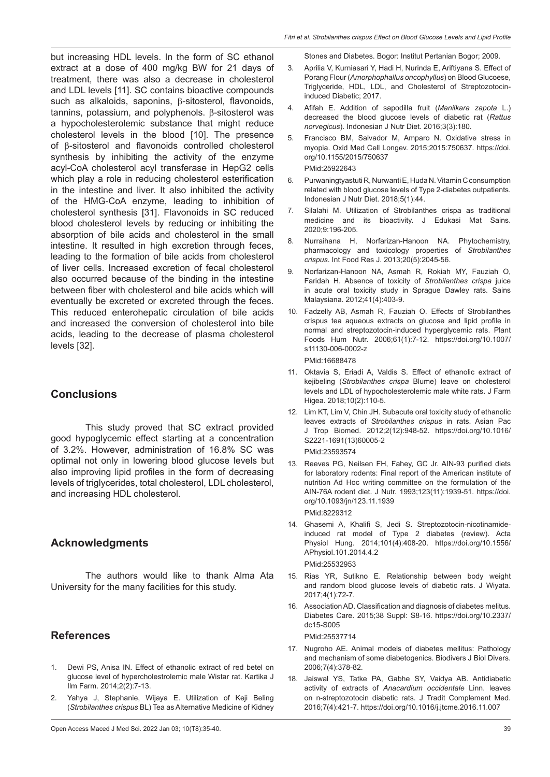but increasing HDL levels. In the form of SC ethanol extract at a dose of 400 mg/kg BW for 21 days of treatment, there was also a decrease in cholesterol and LDL levels [11]. SC contains bioactive compounds such as alkaloids, saponins, β-sitosterol, flavonoids, tannins, potassium, and polyphenols. β-sitosterol was a hypocholesterolemic substance that might reduce cholesterol levels in the blood [10]. The presence of β-sitosterol and flavonoids controlled cholesterol synthesis by inhibiting the activity of the enzyme acyl-CoA cholesterol acyl transferase in HepG2 cells which play a role in reducing cholesterol esterification in the intestine and liver. It also inhibited the activity of the HMG-CoA enzyme, leading to inhibition of cholesterol synthesis [31]. Flavonoids in SC reduced blood cholesterol levels by reducing or inhibiting the absorption of bile acids and cholesterol in the small intestine. It resulted in high excretion through feces, leading to the formation of bile acids from cholesterol of liver cells. Increased excretion of fecal cholesterol also occurred because of the binding in the intestine between fiber with cholesterol and bile acids which will eventually be excreted or excreted through the feces. This reduced enterohepatic circulation of bile acids and increased the conversion of cholesterol into bile acids, leading to the decrease of plasma cholesterol levels [32].

# **Conclusions**

This study proved that SC extract provided good hypoglycemic effect starting at a concentration of 3.2%. However, administration of 16.8% SC was optimal not only in lowering blood glucose levels but also improving lipid profiles in the form of decreasing levels of triglycerides, total cholesterol, LDL cholesterol, and increasing HDL cholesterol.

# **Acknowledgments**

The authors would like to thank Alma Ata University for the many facilities for this study.

# **References**

- 1. Dewi PS, Anisa IN. Effect of ethanolic extract of red betel on glucose level of hypercholestrolemic male Wistar rat. Kartika J Ilm Farm. 2014;2(2):7-13.
- 2. Yahya J, Stephanie, Wijaya E. Utilization of Keji Beling (*Strobilanthes crispus* BL) Tea as Alternative Medicine of Kidney

Stones and Diabetes. Bogor: Institut Pertanian Bogor; 2009.

- 3. Aprilia V, Kurniasari Y, Hadi H, Nurinda E, Ariftiyana S. Effect of Porang Flour (*Amorphophallus oncophyllus*) on Blood Glucoese, Triglyceride, HDL, LDL, and Cholesterol of Streptozotocininduced Diabetic; 2017.
- 4. Afifah E. Addition of sapodilla fruit (*Manilkara zapota* L.) decreased the blood glucose levels of diabetic rat (*Rattus norvegicus*). Indonesian J Nutr Diet. 2016;3(3):180.
- 5. Francisco BM, Salvador M, Amparo N. Oxidative stress in myopia. Oxid Med Cell Longev. 2015;2015:750637. https://doi. org/10.1155/2015/750637

### PMid:25922643

- 6. Purwaningtyastuti R, Nurwanti E, Huda N. Vitamin C consumption related with blood glucose levels of Type 2-diabetes outpatients. Indonesian J Nutr Diet. 2018;5(1):44.
- 7. Silalahi M. Utilization of Strobilanthes crispa as traditional medicine and its bioactivity. J Edukasi Mat Sains. 2020;9:196-205.
- 8. Nurraihana H, Norfarizan-Hanoon NA. Phytochemistry, pharmacology and toxicology properties of *Strobilanthes crispus*. Int Food Res J. 2013;20(5):2045-56.
- 9. Norfarizan-Hanoon NA, Asmah R, Rokiah MY, Fauziah O, Faridah H. Absence of toxicity of *Strobilanthes crispa* juice in acute oral toxicity study in Sprague Dawley rats. Sains Malaysiana. 2012;41(4):403-9.
- 10. Fadzelly AB, Asmah R, Fauziah O. Effects of Strobilanthes crispus tea aqueous extracts on glucose and lipid profile in normal and streptozotocin-induced hyperglycemic rats. Plant Foods Hum Nutr. 2006;61(1):7-12. https://doi.org/10.1007/ s11130-006-0002-z

PMid:16688478

- 11. Oktavia S, Eriadi A, Valdis S. Effect of ethanolic extract of kejibeling (*Strobilanthes crispa* Blume) leave on cholesterol levels and LDL of hypocholesterolemic male white rats. J Farm Higea. 2018;10(2):110-5.
- 12. Lim KT, Lim V, Chin JH. Subacute oral toxicity study of ethanolic leaves extracts of *Strobilanthes crispus* in rats. Asian Pac J Trop Biomed. 2012;2(12):948-52. https://doi.org/10.1016/ S2221-1691(13)60005-2 PMid:23593574
- 13. Reeves PG, Neilsen FH, Fahey, GC Jr. AIN-93 purified diets for laboratory rodents: Final report of the American institute of nutrition Ad Hoc writing committee on the formulation of the AIN-76A rodent diet. J Nutr. 1993;123(11):1939-51. https://doi. org/10.1093/jn/123.11.1939 PMid:8229312
- 14. Ghasemi A, Khalifi S, Jedi S. Streptozotocin-nicotinamideinduced rat model of Type 2 diabetes (review). Acta Physiol Hung. 2014;101(4):408-20. https://doi.org/10.1556/ APhysiol.101.2014.4.2 PMid:25532953
- 15. Rias YR, Sutikno E. Relationship between body weight and random blood glucose levels of diabetic rats. J Wiyata. 2017;4(1):72-7.
- 16. Association AD. Classification and diagnosis of diabetes melitus. Diabetes Care. 2015;38 Suppl: S8-16. https://doi.org/10.2337/ dc15-S005

PMid:25537714

- 17. Nugroho AE. Animal models of diabetes mellitus: Pathology and mechanism of some diabetogenics. Biodivers J Biol Divers. 2006;7(4):378-82.
- 18. Jaiswal YS, Tatke PA, Gabhe SY, Vaidya AB. Antidiabetic activity of extracts of *Anacardium occidentale* Linn. leaves on n-streptozotocin diabetic rats. J Tradit Complement Med. 2016;7(4):421-7. https://doi.org/10.1016/j.jtcme.2016.11.007